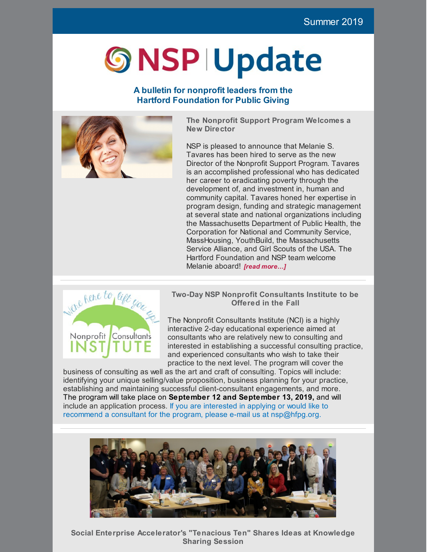# **S NSP IUpdate**

# **A bulletin for nonprofit leaders from the Hartford Foundation for Public Giving**



**The Nonprofit Support Program Welcomes a New Director**

NSP is pleased to announce that Melanie S. Tavares has been hired to serve as the new Director of the Nonprofit Support Program. Tavares is an accomplished professional who has dedicated her career to eradicating poverty through the development of, and investment in, human and community capital. Tavares honed her expertise in program design, funding and strategic management at several state and national organizations including the Massachusetts Department of Public Health, the Corporation for National and Community Service, MassHousing, YouthBuild, the Massachusetts Service Alliance, and Girl Scouts of the USA. The Hartford Foundation and NSP team welcome Melanie aboard! *[read [more…\]](https://www.hfpg.org/index.php/latest-updates/updates/hartford-foundation-names-melanie-tavares-new-director-of-nonprofit-support-program)*



**Two-Day NSP Nonprofit Consultants Institute to be Offered in the Fall**

The Nonprofit Consultants Institute (NCI) is a highly interactive 2-day educational experience aimed at consultants who are relatively new to consulting and interested in establishing a successful consulting practice, and experienced consultants who wish to take their practice to the next level. The program will cover the

business of consulting as well as the art and craft of consulting. Topics will include: identifying your unique selling/value proposition, business planning for your practice, establishing and maintaining successful client-consultant engagements, and more. The program will take place on **September 12 and September 13, 2019,** and will include an application process. If you are interested in applying or would like to recommend a consultant for the program, please e-mail us at nsp@hfpg.org.



**Social Enterprise Accelerator's "Tenacious Ten" Shares Ideas at Knowledge Sharing Session**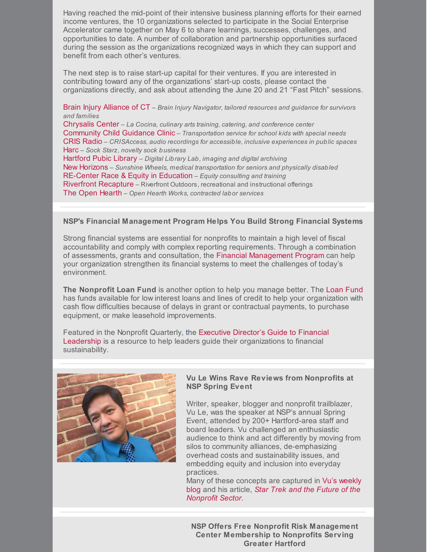Having reached the mid-point of their intensive business planning efforts for their earned income ventures, the 10 organizations selected to participate in the Social Enterprise Accelerator came together on May 6 to share learnings, successes, challenges, and opportunities to date. A number of collaboration and partnership opportunities surfaced during the session as the organizations recognized ways in which they can support and benefit from each other's ventures.

The next step is to raise start-up capital for their ventures. If you are interested in contributing toward any of the organizations' start-up costs, please contact the organizations directly, and ask about attending the June 20 and 21 "Fast Pitch" sessions.

Brain Injury [Alliance](http://www.biact.org/) of CT – *Brain Injury Navigator, tailored resources and guidance for survivors and families*

[Chrysalis](https://chrysaliscenterct.org/) Center – *La Cocina, culinary arts training, catering, and conference center* [Community](https://ccgcinc.org/) Child Guidance Clinic – *Transportation service for school kids with special needs* CRIS [Radio](https://crisradio.org/) – *CRISAccess, audio recordings for accessible, inclusive experiences in public spaces* [Harc](https://harc-ct.org/) – *Sock Starz, novelty sock business*

[Hartford](https://www.hplct.org/) Pubic Library – *Digital Library Lab, imaging and digital archiving* New [Horizons](https://newhorizonsinc.org/) – *Sunshine Wheels, medical transportation for seniors and physically disabled* [RE-Center](https://re-center.org/) Race & Equity in Education – *Equity consulting and training* Riverfront [Recapture](http://www.riverfront.org/) – Riverfront Outdoors, recreational and instructional offerings The Open [Hearth](https://www.theopenhearth.org/) – *Open Hearth Works, contracted labor services*

## **NSP's Financial Management Program Helps You Build Strong Financial Systems**

Strong financial systems are essential for nonprofits to maintain a high level of fiscal accountability and comply with complex reporting requirements. Through a combination of assessments, grants and consultation, the Financial [Management](https://www.hfpgnonprofitsupportprogram.org/what-we-offer/financial-management/financial-management-assessment) Program can help your organization strengthen its financial systems to meet the challenges of today's environment.

**The Nonprofit Loan Fund** is another option to help you manage better. The Loan [Fund](https://www.hfpgnonprofitsupportprogram.org/what-we-offer/financial-management/hedco-loan-fund) has funds available for low interest loans and lines of credit to help your organization with cash flow difficulties because of delays in grant or contractual payments, to purchase equipment, or make leasehold improvements.

Featured in the Nonprofit Quarterly, the Executive Director's Guide to Financial Leadership is a resource to help leaders guide their [organizations](https://nonprofitquarterly.org/2019/01/10/executive-directors-guide-financial-leadership/) to financial sustainability.



### **Vu Le Wins Rave Reviews from Nonprofits at NSP Spring Event**

Writer, speaker, blogger and nonprofit trailblazer, Vu Le, was the speaker at NSP's annual Spring Event, attended by 200+ Hartford-area staff and board leaders. Vu challenged an enthusiastic audience to think and act differently by moving from silos to community alliances, de-emphasizing overhead costs and sustainability issues, and embedding equity and inclusion into everyday practices.

Many of these [concepts](https://nonprofitaf.com/about/) are captured in Vu's weekly blog and his article, *Star Trek and the Future of the [Nonprofit](https://nonprofitquarterly.org/2017/11/08/star-trek-future-nonprofit-sector/) Sector.*

**NSP Offers Free Nonprofit Risk Management Center Membership to Nonprofits Serving Greater Hartford**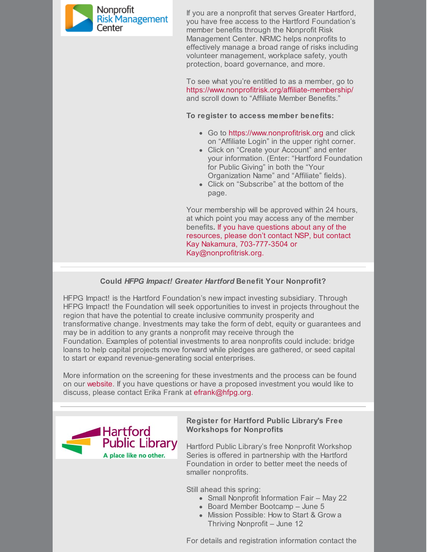

If you are a nonprofit that serves Greater Hartford, you have free access to the Hartford Foundation's member benefits through the Nonprofit Risk Management Center. NRMC helps nonprofits to effectively manage a broad range of risks including volunteer management, workplace safety, youth protection, board governance, and more.

To see what you're entitled to as a member, go to <https://www.nonprofitrisk.org/affiliate-membership/> and scroll down to "Affiliate Member Benefits."

**To register to access member benefits:**

- Go to [https://www.nonprofitrisk.org](https://www.nonprofitrisk.org/) and click on "Affiliate Login" in the upper right corner.
- Click on "Create your Account" and enter your information. (Enter: "Hartford Foundation for Public Giving" in both the "Your Organization Name" and "Affiliate" fields).
- Click on "Subscribe" at the bottom of the page.

Your membership will be approved within 24 hours, at which point you may access any of the member benefits**.** If you have questions about any of the resources, please don't contact NSP, but contact Kay Nakamura, 703-777-3504 or [Kay@nonprofitrisk.org](mailto:Kay@nonprofitrisk.org).

## **Could** *HFPG Impact! Greater Hartford* **Benefit Your Nonprofit?**

HFPG Impact! is the Hartford Foundation's new impact investing subsidiary. Through HFPG Impact! the Foundation will seek opportunities to invest in projects throughout the region that have the potential to create inclusive community prosperity and transformative change. Investments may take the form of debt, equity or guarantees and may be in addition to any grants a nonprofit may receive through the Foundation. Examples of potential investments to area nonprofits could include: bridge loans to help capital projects move forward while pledges are gathered, or seed capital to start or expand revenue-generating social enterprises.

More information on the screening for these investments and the process can be found on our [website](https://www.hfpg.org/our-approach/hfpg-impact-greater-hartford/). If you have questions or have a proposed investment you would like to discuss, please contact Erika Frank at [efrank@hfpg.org](mailto:efrank@hfpg.org).



## **Register for Hartford Public Library's Free Workshops for Nonprofits**

Hartford Public Library's free Nonprofit Workshop Series is offered in partnership with the Hartford Foundation in order to better meet the needs of smaller nonprofits.

Still ahead this spring:

- Small Nonprofit Information Fair May 22
- Board Member Bootcamp June 5
- Mission Possible: How to Start & Grow a Thriving Nonprofit – June 12

For details and registration information contact the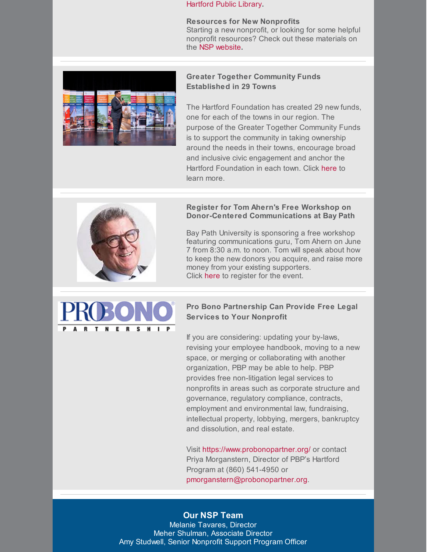[Hartford](https://www.hplct.org/library-services/nonprofits/workshops) Public Library**.**

**Resources for New Nonprofits** Starting a new nonprofit, or looking for some helpful nonprofit resources? Check out these materials on the NSP [website](https://www.hfpgnonprofitsupportprogram.org/i-need-help-with/new-start-up-nonprofits)**.**



## **Greater Together Community Funds Established in 29 Towns**

The Hartford Foundation has created 29 new funds, one for each of the towns in our region. The purpose of the Greater Together Community Funds is to support the community in taking ownership around the needs in their towns, encourage broad and inclusive civic engagement and anchor the Hartford Foundation in each town. Click [here](http://www.hfpg.org/donors/give-fund/greatertogether-community-funds/) to learn more.



### **Register for Tom Ahern's Free Workshop on Donor-Centered Communications at Bay Path**

Bay Path University is sponsoring a free workshop featuring communications guru, Tom Ahern on June 7 from 8:30 a.m. to noon. Tom will speak about how to keep the new donors you acquire, and raise more money from your existing supporters. Click [here](https://www.baypath.edu/events-calendar/details/hot-topics-in-philanthropy-donor-centered-communications/2019-06-07/) to register for the event.



# **Pro Bono Partnership Can Provide Free Legal Services to Your Nonprofit**

If you are considering: updating your by-laws, revising your employee handbook, moving to a new space, or merging or collaborating with another organization, PBP may be able to help. PBP provides free non-litigation legal services to nonprofits in areas such as corporate structure and governance, regulatory compliance, contracts, employment and environmental law, fundraising, intellectual property, lobbying, mergers, bankruptcy and dissolution, and real estate.

Visit <https://www.probonopartner.org/> or contact Priya Morganstern, Director of PBP's Hartford Program at (860) 541-4950 or [pmorganstern@probonopartner.org](mailto:pmorganstern@probonopartner.org).

## **Our NSP Team**

Melanie [Tavares,](mailto:mtavares@hfpg.org) Director Meher Shulman, [Associate](mailto:mshulman@hfpg.org) Director Amy Studwell, Senior [Nonprofit](mailto:astudwell@hfpg.org) Support Program Officer